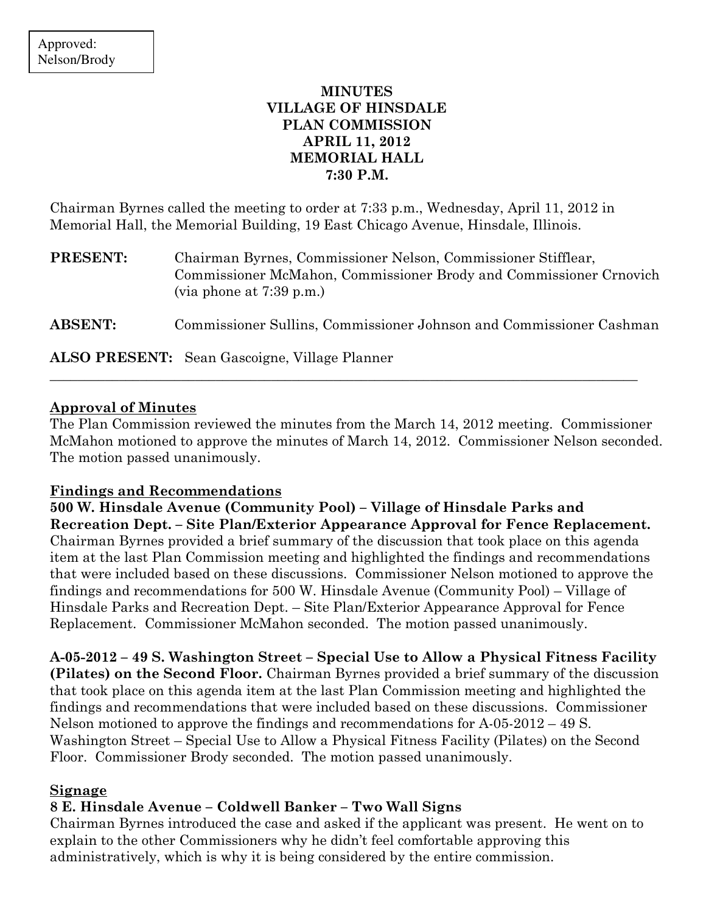# MINUTES VILLAGE OF HINSDALE PLAN COMMISSION APRIL 11, 2012 MEMORIAL HALL 7:30 P.M.

Chairman Byrnes called the meeting to order at 7:33 p.m., Wednesday, April 11, 2012 in Memorial Hall, the Memorial Building, 19 East Chicago Avenue, Hinsdale, Illinois.

PRESENT: Chairman Byrnes, Commissioner Nelson, Commissioner Stifflear, Commissioner McMahon, Commissioner Brody and Commissioner Crnovich (via phone at 7:39 p.m.)

ABSENT: Commissioner Sullins, Commissioner Johnson and Commissioner Cashman

\_\_\_\_\_\_\_\_\_\_\_\_\_\_\_\_\_\_\_\_\_\_\_\_\_\_\_\_\_\_\_\_\_\_\_\_\_\_\_\_\_\_\_\_\_\_\_\_\_\_\_\_\_\_\_\_\_\_\_\_\_\_\_\_\_\_\_\_\_\_\_\_\_\_\_\_\_\_\_\_\_\_\_\_\_

ALSO PRESENT: Sean Gascoigne, Village Planner

# Approval of Minutes

The Plan Commission reviewed the minutes from the March 14, 2012 meeting. Commissioner McMahon motioned to approve the minutes of March 14, 2012. Commissioner Nelson seconded. The motion passed unanimously.

## Findings and Recommendations

500 W. Hinsdale Avenue (Community Pool) – Village of Hinsdale Parks and Recreation Dept. – Site Plan/Exterior Appearance Approval for Fence Replacement. Chairman Byrnes provided a brief summary of the discussion that took place on this agenda item at the last Plan Commission meeting and highlighted the findings and recommendations that were included based on these discussions. Commissioner Nelson motioned to approve the findings and recommendations for 500 W. Hinsdale Avenue (Community Pool) – Village of Hinsdale Parks and Recreation Dept. – Site Plan/Exterior Appearance Approval for Fence Replacement. Commissioner McMahon seconded. The motion passed unanimously.

A-05-2012 – 49 S. Washington Street – Special Use to Allow a Physical Fitness Facility (Pilates) on the Second Floor. Chairman Byrnes provided a brief summary of the discussion that took place on this agenda item at the last Plan Commission meeting and highlighted the findings and recommendations that were included based on these discussions. Commissioner Nelson motioned to approve the findings and recommendations for  $A-05-2012-49$  S. Washington Street – Special Use to Allow a Physical Fitness Facility (Pilates) on the Second Floor. Commissioner Brody seconded. The motion passed unanimously.

## Signage

# 8 E. Hinsdale Avenue – Coldwell Banker – Two Wall Signs

Chairman Byrnes introduced the case and asked if the applicant was present. He went on to explain to the other Commissioners why he didn't feel comfortable approving this administratively, which is why it is being considered by the entire commission.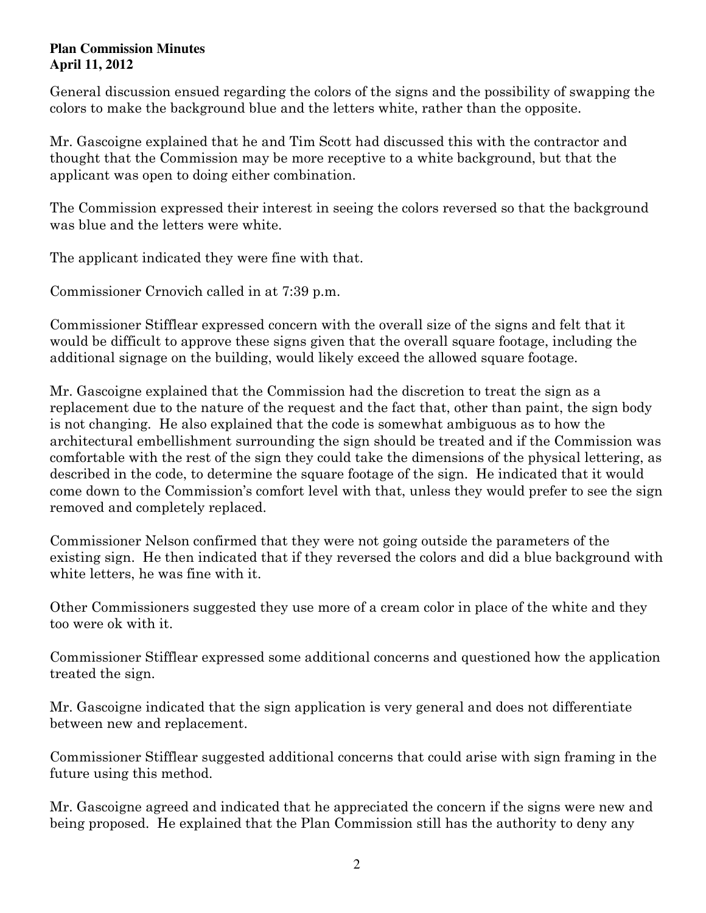### **Plan Commission Minutes April 11, 2012**

General discussion ensued regarding the colors of the signs and the possibility of swapping the colors to make the background blue and the letters white, rather than the opposite.

Mr. Gascoigne explained that he and Tim Scott had discussed this with the contractor and thought that the Commission may be more receptive to a white background, but that the applicant was open to doing either combination.

The Commission expressed their interest in seeing the colors reversed so that the background was blue and the letters were white.

The applicant indicated they were fine with that.

Commissioner Crnovich called in at 7:39 p.m.

Commissioner Stifflear expressed concern with the overall size of the signs and felt that it would be difficult to approve these signs given that the overall square footage, including the additional signage on the building, would likely exceed the allowed square footage.

Mr. Gascoigne explained that the Commission had the discretion to treat the sign as a replacement due to the nature of the request and the fact that, other than paint, the sign body is not changing. He also explained that the code is somewhat ambiguous as to how the architectural embellishment surrounding the sign should be treated and if the Commission was comfortable with the rest of the sign they could take the dimensions of the physical lettering, as described in the code, to determine the square footage of the sign. He indicated that it would come down to the Commission's comfort level with that, unless they would prefer to see the sign removed and completely replaced.

Commissioner Nelson confirmed that they were not going outside the parameters of the existing sign. He then indicated that if they reversed the colors and did a blue background with white letters, he was fine with it.

Other Commissioners suggested they use more of a cream color in place of the white and they too were ok with it.

Commissioner Stifflear expressed some additional concerns and questioned how the application treated the sign.

Mr. Gascoigne indicated that the sign application is very general and does not differentiate between new and replacement.

Commissioner Stifflear suggested additional concerns that could arise with sign framing in the future using this method.

Mr. Gascoigne agreed and indicated that he appreciated the concern if the signs were new and being proposed. He explained that the Plan Commission still has the authority to deny any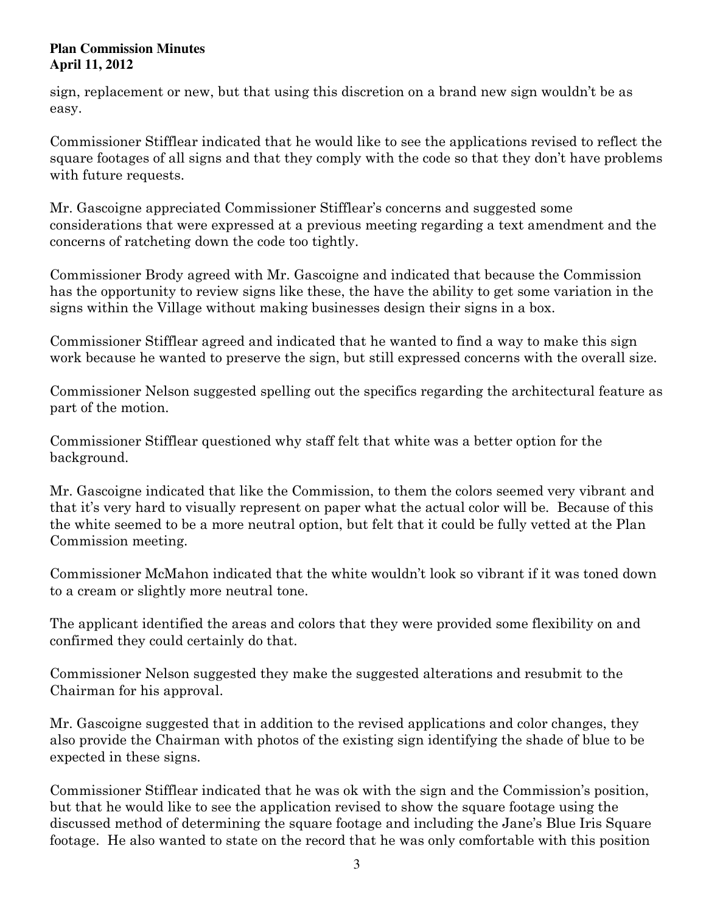### **Plan Commission Minutes April 11, 2012**

sign, replacement or new, but that using this discretion on a brand new sign wouldn't be as easy.

Commissioner Stifflear indicated that he would like to see the applications revised to reflect the square footages of all signs and that they comply with the code so that they don't have problems with future requests.

Mr. Gascoigne appreciated Commissioner Stifflear's concerns and suggested some considerations that were expressed at a previous meeting regarding a text amendment and the concerns of ratcheting down the code too tightly.

Commissioner Brody agreed with Mr. Gascoigne and indicated that because the Commission has the opportunity to review signs like these, the have the ability to get some variation in the signs within the Village without making businesses design their signs in a box.

Commissioner Stifflear agreed and indicated that he wanted to find a way to make this sign work because he wanted to preserve the sign, but still expressed concerns with the overall size.

Commissioner Nelson suggested spelling out the specifics regarding the architectural feature as part of the motion.

Commissioner Stifflear questioned why staff felt that white was a better option for the background.

Mr. Gascoigne indicated that like the Commission, to them the colors seemed very vibrant and that it's very hard to visually represent on paper what the actual color will be. Because of this the white seemed to be a more neutral option, but felt that it could be fully vetted at the Plan Commission meeting.

Commissioner McMahon indicated that the white wouldn't look so vibrant if it was toned down to a cream or slightly more neutral tone.

The applicant identified the areas and colors that they were provided some flexibility on and confirmed they could certainly do that.

Commissioner Nelson suggested they make the suggested alterations and resubmit to the Chairman for his approval.

Mr. Gascoigne suggested that in addition to the revised applications and color changes, they also provide the Chairman with photos of the existing sign identifying the shade of blue to be expected in these signs.

Commissioner Stifflear indicated that he was ok with the sign and the Commission's position, but that he would like to see the application revised to show the square footage using the discussed method of determining the square footage and including the Jane's Blue Iris Square footage. He also wanted to state on the record that he was only comfortable with this position